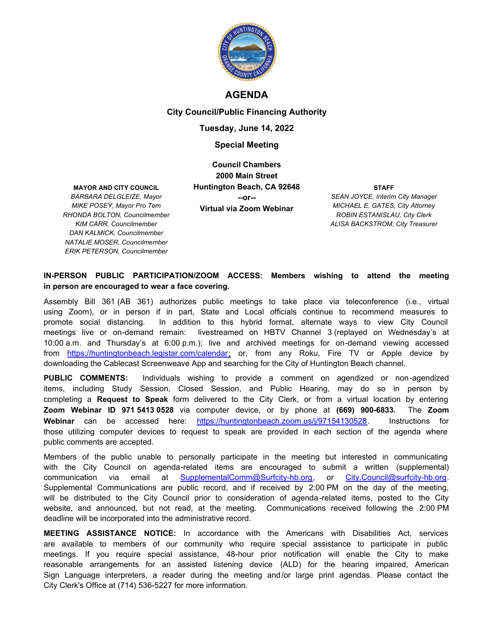

# **AGENDA**

### **City Council/Public Financing Authority**

## **Tuesday, June 14, 2022**

### **Special Meeting**

**MAYOR AND CITY COUNCIL**

*BARBARA DELGLEIZE, Mayor MIKE POSEY, Mayor Pro Tem RHONDA BOLTON, Councilmember KIM CARR, Councilmember DAN KALMICK, Councilmember NATALIE MOSER, Councilmember ERIK PETERSON, Councilmember*

**Council Chambers 2000 Main Street Huntington Beach, CA 92648 --or-- Virtual via Zoom Webinar**

**STAFF** *SEAN JOYCE, Interim City Manager MICHAEL E. GATES, City Attorney ROBIN ESTANISLAU, City Clerk ALISA BACKSTROM, City Treasurer*

### **IN-PERSON PUBLIC PARTICIPATION/ZOOM ACCESS: Members wishing to attend the meeting in person are encouraged to wear a face covering.**

Assembly Bill 361 (AB 361) authorizes public meetings to take place via teleconference (i.e., virtual using Zoom), or in person if in part, State and Local officials continue to recommend measures to promote social distancing. In addition to this hybrid format, alternate ways to view City Council meetings live or on-demand remain: livestreamed on HBTV Channel 3 (replayed on Wednesday's at 10:00 a.m. and Thursday's at 6:00 p.m.); live and archived meetings for on-demand viewing accessed from https://huntingtonbeach.legistar.com/calendar; or, from any Roku, Fire TV or Apple device by downloading the Cablecast Screenweave App and searching for the City of Huntington Beach channel.

**PUBLIC COMMENTS:** Individuals wishing to provide a comment on agendized or non-agendized items, including Study Session, Closed Session, and Public Hearing, may do so in person by completing a **Request to Speak** form delivered to the City Clerk, or from a virtual location by entering **Zoom Webinar ID 971 5413 0528** via computer device, or by phone at **(669) 900-6833.** The **Zoom Webinar** can be accessed here: https://huntingtonbeach.zoom.us/j/97154130528. Instructions for those utilizing computer devices to request to speak are provided in each section of the agenda where public comments are accepted.

Members of the public unable to personally participate in the meeting but interested in communicating with the City Council on agenda-related items are encouraged to submit a written (supplemental) communication via email at SupplementalComm@Surfcity-hb.org, or City.Council@surfcity-hb.org. Supplemental Communications are public record, and if received by 2:00 PM on the day of the meeting, will be distributed to the City Council prior to consideration of agenda-related items, posted to the City website, and announced, but not read, at the meeting. Communications received following the 2:00 PM deadline will be incorporated into the administrative record.

**MEETING ASSISTANCE NOTICE:** In accordance with the Americans with Disabilities Act, services are available to members of our community who require special assistance to participate in public meetings. If you require special assistance, 48-hour prior notification will enable the City to make reasonable arrangements for an assisted listening device (ALD) for the hearing impaired, American Sign Language interpreters, a reader during the meeting and/or large print agendas. Please contact the City Clerk's Office at (714) 536-5227 for more information.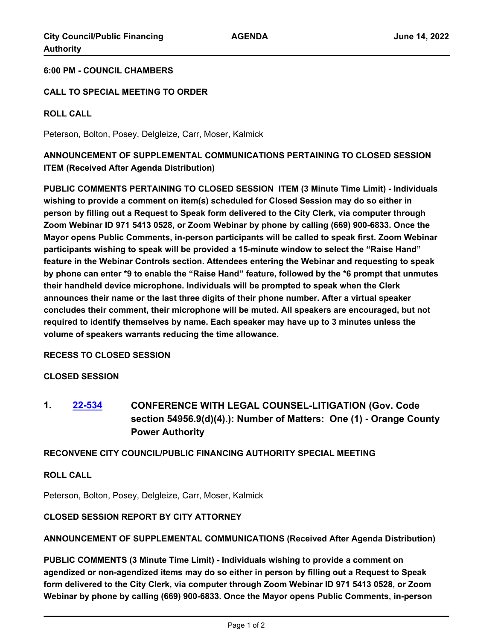### **6:00 PM - COUNCIL CHAMBERS**

### **CALL TO SPECIAL MEETING TO ORDER**

### **ROLL CALL**

Peterson, Bolton, Posey, Delgleize, Carr, Moser, Kalmick

# **ANNOUNCEMENT OF SUPPLEMENTAL COMMUNICATIONS PERTAINING TO CLOSED SESSION ITEM (Received After Agenda Distribution)**

**PUBLIC COMMENTS PERTAINING TO CLOSED SESSION ITEM (3 Minute Time Limit) - Individuals wishing to provide a comment on item(s) scheduled for Closed Session may do so either in person by filling out a Request to Speak form delivered to the City Clerk, via computer through Zoom Webinar ID 971 5413 0528, or Zoom Webinar by phone by calling (669) 900-6833. Once the Mayor opens Public Comments, in-person participants will be called to speak first. Zoom Webinar participants wishing to speak will be provided a 15-minute window to select the "Raise Hand" feature in the Webinar Controls section. Attendees entering the Webinar and requesting to speak by phone can enter \*9 to enable the "Raise Hand" feature, followed by the \*6 prompt that unmutes their handheld device microphone. Individuals will be prompted to speak when the Clerk announces their name or the last three digits of their phone number. After a virtual speaker concludes their comment, their microphone will be muted. All speakers are encouraged, but not required to identify themselves by name. Each speaker may have up to 3 minutes unless the volume of speakers warrants reducing the time allowance.**

**RECESS TO CLOSED SESSION**

### **CLOSED SESSION**

**1. [22-534](http://huntingtonbeach.legistar.com/gateway.aspx?m=l&id=/matter.aspx?key=5646) CONFERENCE WITH LEGAL COUNSEL-LITIGATION (Gov. Code section 54956.9(d)(4).): Number of Matters: One (1) - Orange County Power Authority**

# **RECONVENE CITY COUNCIL/PUBLIC FINANCING AUTHORITY SPECIAL MEETING**

# **ROLL CALL**

Peterson, Bolton, Posey, Delgleize, Carr, Moser, Kalmick

### **CLOSED SESSION REPORT BY CITY ATTORNEY**

## **ANNOUNCEMENT OF SUPPLEMENTAL COMMUNICATIONS (Received After Agenda Distribution)**

**PUBLIC COMMENTS (3 Minute Time Limit) - Individuals wishing to provide a comment on agendized or non-agendized items may do so either in person by filling out a Request to Speak form delivered to the City Clerk, via computer through Zoom Webinar ID 971 5413 0528, or Zoom Webinar by phone by calling (669) 900-6833. Once the Mayor opens Public Comments, in-person**